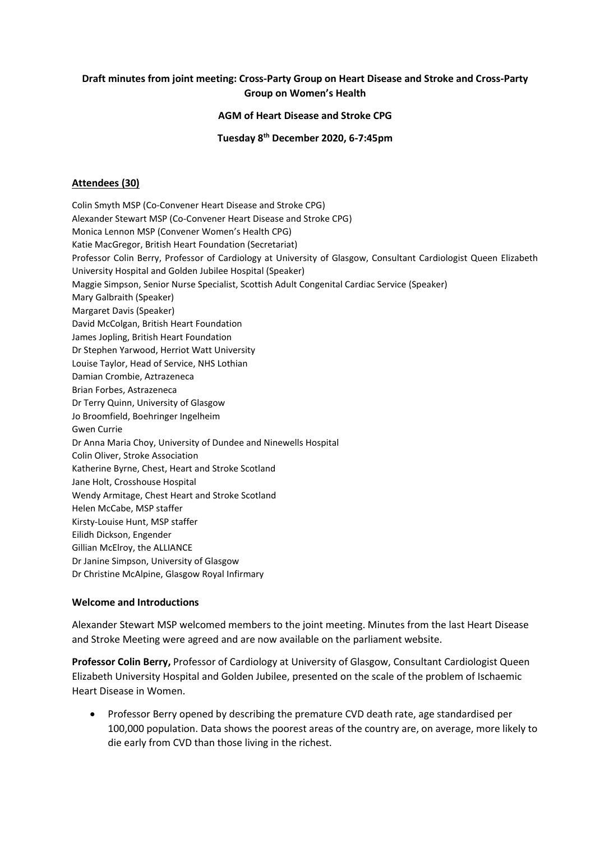### **Draft minutes from joint meeting: Cross-Party Group on Heart Disease and Stroke and Cross-Party Group on Women's Health**

### **AGM of Heart Disease and Stroke CPG**

**Tuesday 8th December 2020, 6-7:45pm** 

#### **Attendees (30)**

Colin Smyth MSP (Co-Convener Heart Disease and Stroke CPG) Alexander Stewart MSP (Co-Convener Heart Disease and Stroke CPG) Monica Lennon MSP (Convener Women's Health CPG) Katie MacGregor, British Heart Foundation (Secretariat) Professor Colin Berry, Professor of Cardiology at University of Glasgow, Consultant Cardiologist Queen Elizabeth University Hospital and Golden Jubilee Hospital (Speaker) Maggie Simpson, Senior Nurse Specialist, Scottish Adult Congenital Cardiac Service (Speaker) Mary Galbraith (Speaker) Margaret Davis (Speaker) David McColgan, British Heart Foundation James Jopling, British Heart Foundation Dr Stephen Yarwood, Herriot Watt University Louise Taylor, Head of Service, NHS Lothian Damian Crombie, Aztrazeneca Brian Forbes, Astrazeneca Dr Terry Quinn, University of Glasgow Jo Broomfield, Boehringer Ingelheim Gwen Currie Dr Anna Maria Choy, University of Dundee and Ninewells Hospital Colin Oliver, Stroke Association Katherine Byrne, Chest, Heart and Stroke Scotland Jane Holt, Crosshouse Hospital Wendy Armitage, Chest Heart and Stroke Scotland Helen McCabe, MSP staffer Kirsty-Louise Hunt, MSP staffer Eilidh Dickson, Engender Gillian McElroy, the ALLIANCE Dr Janine Simpson, University of Glasgow Dr Christine McAlpine, Glasgow Royal Infirmary

### **Welcome and Introductions**

Alexander Stewart MSP welcomed members to the joint meeting. Minutes from the last Heart Disease and Stroke Meeting were agreed and are now available on the parliament website.

**Professor Colin Berry,** Professor of Cardiology at University of Glasgow, Consultant Cardiologist Queen Elizabeth University Hospital and Golden Jubilee, presented on the scale of the problem of Ischaemic Heart Disease in Women.

• Professor Berry opened by describing the premature CVD death rate, age standardised per 100,000 population. Data shows the poorest areas of the country are, on average, more likely to die early from CVD than those living in the richest.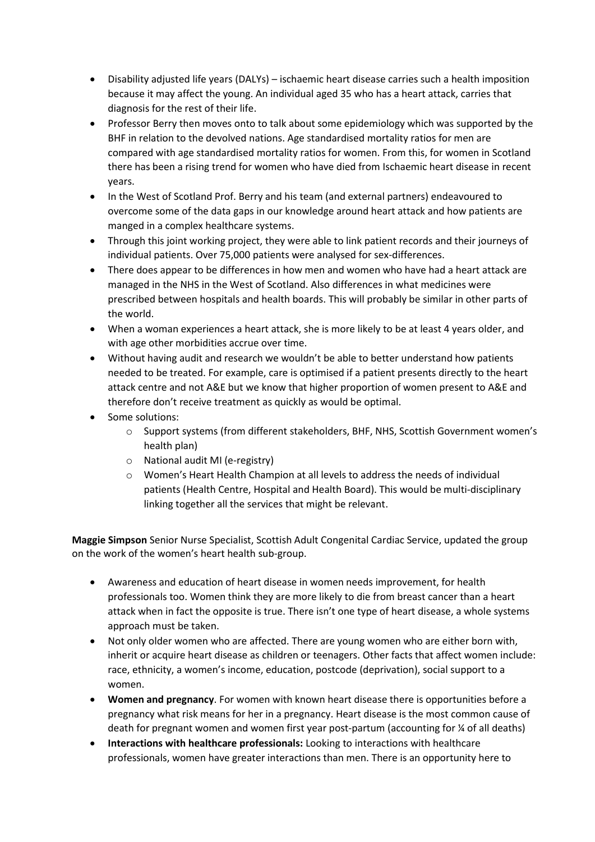- Disability adjusted life years (DALYs) ischaemic heart disease carries such a health imposition because it may affect the young. An individual aged 35 who has a heart attack, carries that diagnosis for the rest of their life.
- Professor Berry then moves onto to talk about some epidemiology which was supported by the BHF in relation to the devolved nations. Age standardised mortality ratios for men are compared with age standardised mortality ratios for women. From this, for women in Scotland there has been a rising trend for women who have died from Ischaemic heart disease in recent years.
- In the West of Scotland Prof. Berry and his team (and external partners) endeavoured to overcome some of the data gaps in our knowledge around heart attack and how patients are manged in a complex healthcare systems.
- Through this joint working project, they were able to link patient records and their journeys of individual patients. Over 75,000 patients were analysed for sex-differences.
- There does appear to be differences in how men and women who have had a heart attack are managed in the NHS in the West of Scotland. Also differences in what medicines were prescribed between hospitals and health boards. This will probably be similar in other parts of the world.
- When a woman experiences a heart attack, she is more likely to be at least 4 years older, and with age other morbidities accrue over time.
- Without having audit and research we wouldn't be able to better understand how patients needed to be treated. For example, care is optimised if a patient presents directly to the heart attack centre and not A&E but we know that higher proportion of women present to A&E and therefore don't receive treatment as quickly as would be optimal.
- Some solutions:
	- o Support systems (from different stakeholders, BHF, NHS, Scottish Government women's health plan)
	- o National audit MI (e-registry)
	- o Women's Heart Health Champion at all levels to address the needs of individual patients (Health Centre, Hospital and Health Board). This would be multi-disciplinary linking together all the services that might be relevant.

**Maggie Simpson** Senior Nurse Specialist, Scottish Adult Congenital Cardiac Service, updated the group on the work of the women's heart health sub-group.

- Awareness and education of heart disease in women needs improvement, for health professionals too. Women think they are more likely to die from breast cancer than a heart attack when in fact the opposite is true. There isn't one type of heart disease, a whole systems approach must be taken.
- Not only older women who are affected. There are young women who are either born with, inherit or acquire heart disease as children or teenagers. Other facts that affect women include: race, ethnicity, a women's income, education, postcode (deprivation), social support to a women.
- **Women and pregnancy**. For women with known heart disease there is opportunities before a pregnancy what risk means for her in a pregnancy. Heart disease is the most common cause of death for pregnant women and women first year post-partum (accounting for ¼ of all deaths)
- **Interactions with healthcare professionals:** Looking to interactions with healthcare professionals, women have greater interactions than men. There is an opportunity here to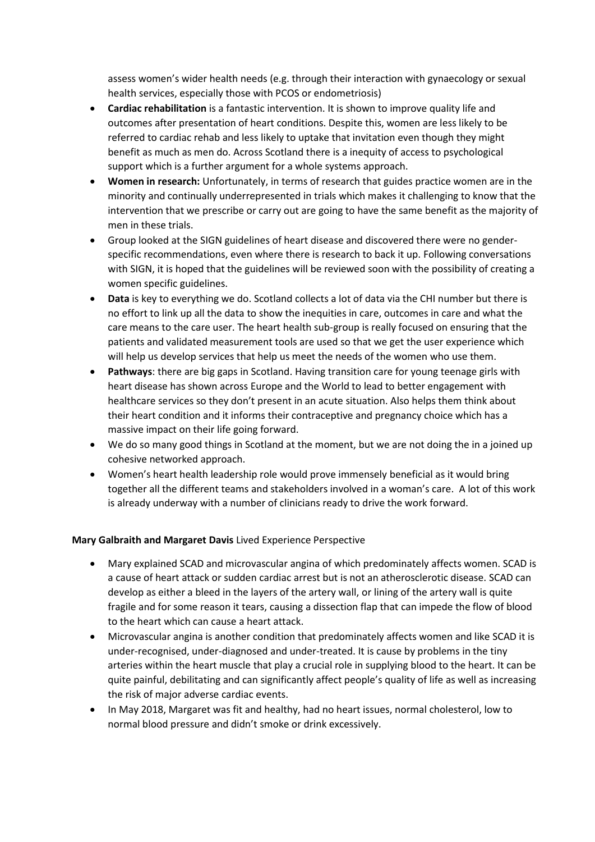assess women's wider health needs (e.g. through their interaction with gynaecology or sexual health services, especially those with PCOS or endometriosis)

- **Cardiac rehabilitation** is a fantastic intervention. It is shown to improve quality life and outcomes after presentation of heart conditions. Despite this, women are less likely to be referred to cardiac rehab and less likely to uptake that invitation even though they might benefit as much as men do. Across Scotland there is a inequity of access to psychological support which is a further argument for a whole systems approach.
- **Women in research:** Unfortunately, in terms of research that guides practice women are in the minority and continually underrepresented in trials which makes it challenging to know that the intervention that we prescribe or carry out are going to have the same benefit as the majority of men in these trials.
- Group looked at the SIGN guidelines of heart disease and discovered there were no genderspecific recommendations, even where there is research to back it up. Following conversations with SIGN, it is hoped that the guidelines will be reviewed soon with the possibility of creating a women specific guidelines.
- **Data** is key to everything we do. Scotland collects a lot of data via the CHI number but there is no effort to link up all the data to show the inequities in care, outcomes in care and what the care means to the care user. The heart health sub-group is really focused on ensuring that the patients and validated measurement tools are used so that we get the user experience which will help us develop services that help us meet the needs of the women who use them.
- **Pathways**: there are big gaps in Scotland. Having transition care for young teenage girls with heart disease has shown across Europe and the World to lead to better engagement with healthcare services so they don't present in an acute situation. Also helps them think about their heart condition and it informs their contraceptive and pregnancy choice which has a massive impact on their life going forward.
- We do so many good things in Scotland at the moment, but we are not doing the in a joined up cohesive networked approach.
- Women's heart health leadership role would prove immensely beneficial as it would bring together all the different teams and stakeholders involved in a woman's care. A lot of this work is already underway with a number of clinicians ready to drive the work forward.

# **Mary Galbraith and Margaret Davis** Lived Experience Perspective

- Mary explained SCAD and microvascular angina of which predominately affects women. SCAD is a cause of heart attack or sudden cardiac arrest but is not an atherosclerotic disease. SCAD can develop as either a bleed in the layers of the artery wall, or lining of the artery wall is quite fragile and for some reason it tears, causing a dissection flap that can impede the flow of blood to the heart which can cause a heart attack.
- Microvascular angina is another condition that predominately affects women and like SCAD it is under-recognised, under-diagnosed and under-treated. It is cause by problems in the tiny arteries within the heart muscle that play a crucial role in supplying blood to the heart. It can be quite painful, debilitating and can significantly affect people's quality of life as well as increasing the risk of major adverse cardiac events.
- In May 2018, Margaret was fit and healthy, had no heart issues, normal cholesterol, low to normal blood pressure and didn't smoke or drink excessively.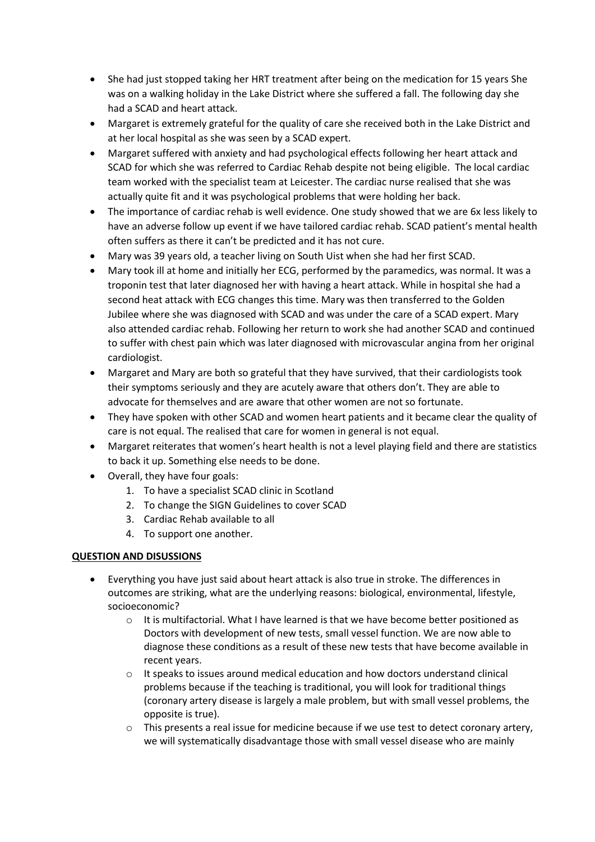- She had just stopped taking her HRT treatment after being on the medication for 15 years She was on a walking holiday in the Lake District where she suffered a fall. The following day she had a SCAD and heart attack.
- Margaret is extremely grateful for the quality of care she received both in the Lake District and at her local hospital as she was seen by a SCAD expert.
- Margaret suffered with anxiety and had psychological effects following her heart attack and SCAD for which she was referred to Cardiac Rehab despite not being eligible. The local cardiac team worked with the specialist team at Leicester. The cardiac nurse realised that she was actually quite fit and it was psychological problems that were holding her back.
- The importance of cardiac rehab is well evidence. One study showed that we are 6x less likely to have an adverse follow up event if we have tailored cardiac rehab. SCAD patient's mental health often suffers as there it can't be predicted and it has not cure.
- Mary was 39 years old, a teacher living on South Uist when she had her first SCAD.
- Mary took ill at home and initially her ECG, performed by the paramedics, was normal. It was a troponin test that later diagnosed her with having a heart attack. While in hospital she had a second heat attack with ECG changes this time. Mary was then transferred to the Golden Jubilee where she was diagnosed with SCAD and was under the care of a SCAD expert. Mary also attended cardiac rehab. Following her return to work she had another SCAD and continued to suffer with chest pain which was later diagnosed with microvascular angina from her original cardiologist.
- Margaret and Mary are both so grateful that they have survived, that their cardiologists took their symptoms seriously and they are acutely aware that others don't. They are able to advocate for themselves and are aware that other women are not so fortunate.
- They have spoken with other SCAD and women heart patients and it became clear the quality of care is not equal. The realised that care for women in general is not equal.
- Margaret reiterates that women's heart health is not a level playing field and there are statistics to back it up. Something else needs to be done.
- Overall, they have four goals:
	- 1. To have a specialist SCAD clinic in Scotland
	- 2. To change the SIGN Guidelines to cover SCAD
	- 3. Cardiac Rehab available to all
	- 4. To support one another.

# **QUESTION AND DISUSSIONS**

- Everything you have just said about heart attack is also true in stroke. The differences in outcomes are striking, what are the underlying reasons: biological, environmental, lifestyle, socioeconomic?
	- $\circ$  It is multifactorial. What I have learned is that we have become better positioned as Doctors with development of new tests, small vessel function. We are now able to diagnose these conditions as a result of these new tests that have become available in recent years.
	- $\circ$  It speaks to issues around medical education and how doctors understand clinical problems because if the teaching is traditional, you will look for traditional things (coronary artery disease is largely a male problem, but with small vessel problems, the opposite is true).
	- $\circ$  This presents a real issue for medicine because if we use test to detect coronary artery, we will systematically disadvantage those with small vessel disease who are mainly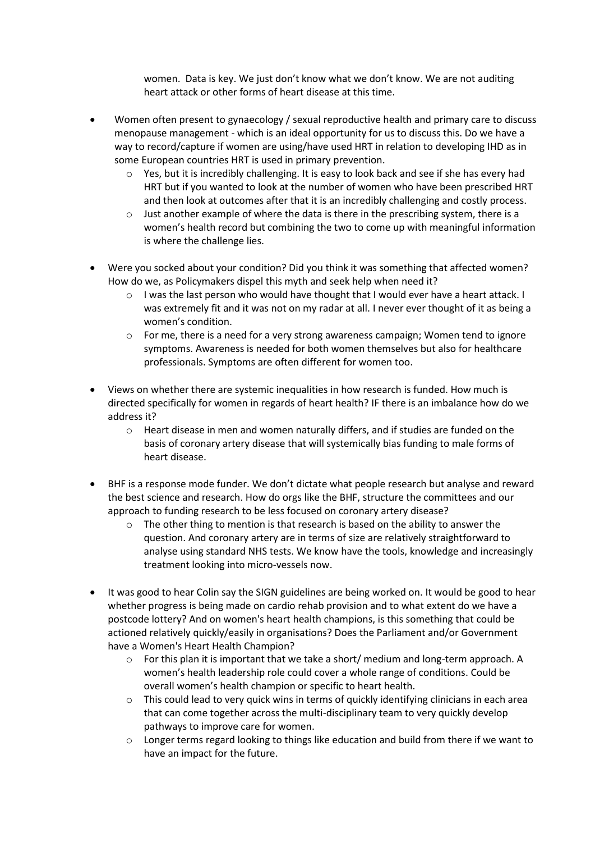women. Data is key. We just don't know what we don't know. We are not auditing heart attack or other forms of heart disease at this time.

- Women often present to gynaecology / sexual reproductive health and primary care to discuss menopause management - which is an ideal opportunity for us to discuss this. Do we have a way to record/capture if women are using/have used HRT in relation to developing IHD as in some European countries HRT is used in primary prevention.
	- $\circ$  Yes, but it is incredibly challenging. It is easy to look back and see if she has every had HRT but if you wanted to look at the number of women who have been prescribed HRT and then look at outcomes after that it is an incredibly challenging and costly process.
	- $\circ$  Just another example of where the data is there in the prescribing system, there is a women's health record but combining the two to come up with meaningful information is where the challenge lies.
- Were you socked about your condition? Did you think it was something that affected women? How do we, as Policymakers dispel this myth and seek help when need it?
	- o I was the last person who would have thought that I would ever have a heart attack. I was extremely fit and it was not on my radar at all. I never ever thought of it as being a women's condition.
	- $\circ$  For me, there is a need for a very strong awareness campaign; Women tend to ignore symptoms. Awareness is needed for both women themselves but also for healthcare professionals. Symptoms are often different for women too.
- Views on whether there are systemic inequalities in how research is funded. How much is directed specifically for women in regards of heart health? IF there is an imbalance how do we address it?
	- o Heart disease in men and women naturally differs, and if studies are funded on the basis of coronary artery disease that will systemically bias funding to male forms of heart disease.
- BHF is a response mode funder. We don't dictate what people research but analyse and reward the best science and research. How do orgs like the BHF, structure the committees and our approach to funding research to be less focused on coronary artery disease?
	- $\circ$  The other thing to mention is that research is based on the ability to answer the question. And coronary artery are in terms of size are relatively straightforward to analyse using standard NHS tests. We know have the tools, knowledge and increasingly treatment looking into micro-vessels now.
- It was good to hear Colin say the SIGN guidelines are being worked on. It would be good to hear whether progress is being made on cardio rehab provision and to what extent do we have a postcode lottery? And on women's heart health champions, is this something that could be actioned relatively quickly/easily in organisations? Does the Parliament and/or Government have a Women's Heart Health Champion?
	- $\circ$  For this plan it is important that we take a short/ medium and long-term approach. A women's health leadership role could cover a whole range of conditions. Could be overall women's health champion or specific to heart health.
	- $\circ$  This could lead to very quick wins in terms of quickly identifying clinicians in each area that can come together across the multi-disciplinary team to very quickly develop pathways to improve care for women.
	- $\circ$  Longer terms regard looking to things like education and build from there if we want to have an impact for the future.